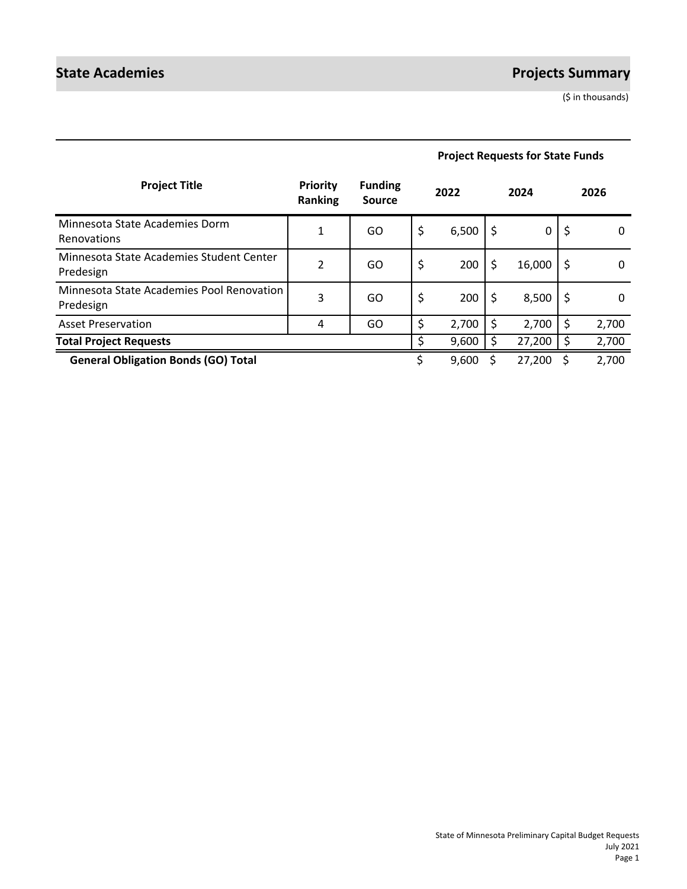# **State Academies Projects Summary**

(\$ in thousands)

| <b>Project Requests for State Funds</b> |  |  |
|-----------------------------------------|--|--|
|                                         |  |  |

| <b>Project Title</b>                                   | <b>Priority</b><br>Ranking | <b>Funding</b><br>Source |    | 2022  |     | 2024   |    | 2026  |
|--------------------------------------------------------|----------------------------|--------------------------|----|-------|-----|--------|----|-------|
| Minnesota State Academies Dorm<br>Renovations          | $\mathbf{1}$               | GO                       | \$ | 6,500 | \$. | 0      | \$ | 0     |
| Minnesota State Academies Student Center<br>Predesign  | $\overline{2}$             | GO                       | \$ | 200   | \$  | 16,000 | \$ | 0     |
| Minnesota State Academies Pool Renovation<br>Predesign | 3                          | GO                       | \$ | 200   | \$  | 8,500  | \$ | 0     |
| <b>Asset Preservation</b>                              | 4                          | GO                       | \$ | 2,700 | Ś   | 2,700  | \$ | 2,700 |
| <b>Total Project Requests</b>                          |                            |                          | ς  | 9,600 |     | 27,200 | \$ | 2,700 |
| <b>General Obligation Bonds (GO) Total</b>             |                            |                          |    | 9,600 |     | 27,200 | S  | 2,700 |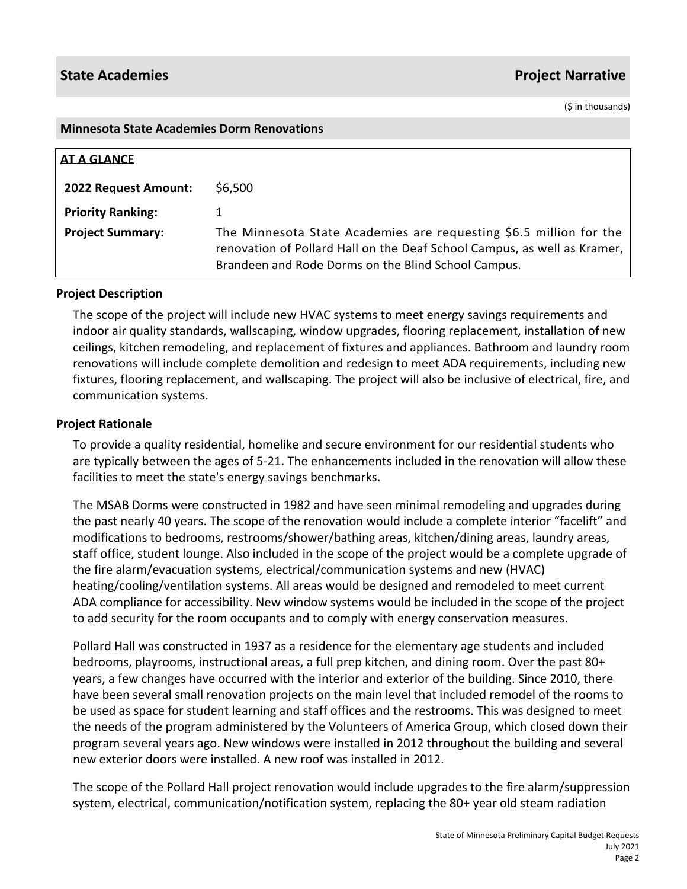(\$ in thousands)

#### **Minnesota State Academies Dorm Renovations**

| <b>AT A GLANCE</b>       |                                                                                                                                                                                                       |
|--------------------------|-------------------------------------------------------------------------------------------------------------------------------------------------------------------------------------------------------|
| 2022 Request Amount:     | \$6,500                                                                                                                                                                                               |
| <b>Priority Ranking:</b> |                                                                                                                                                                                                       |
| <b>Project Summary:</b>  | The Minnesota State Academies are requesting \$6.5 million for the<br>renovation of Pollard Hall on the Deaf School Campus, as well as Kramer,<br>Brandeen and Rode Dorms on the Blind School Campus. |

# **Project Description**

The scope of the project will include new HVAC systems to meet energy savings requirements and indoor air quality standards, wallscaping, window upgrades, flooring replacement, installation of new ceilings, kitchen remodeling, and replacement of fixtures and appliances. Bathroom and laundry room renovations will include complete demolition and redesign to meet ADA requirements, including new fixtures, flooring replacement, and wallscaping. The project will also be inclusive of electrical, fire, and communication systems.

# **Project Rationale**

To provide a quality residential, homelike and secure environment for our residential students who are typically between the ages of 5-21. The enhancements included in the renovation will allow these facilities to meet the state's energy savings benchmarks.

The MSAB Dorms were constructed in 1982 and have seen minimal remodeling and upgrades during the past nearly 40 years. The scope of the renovation would include a complete interior "facelift" and modifications to bedrooms, restrooms/shower/bathing areas, kitchen/dining areas, laundry areas, staff office, student lounge. Also included in the scope of the project would be a complete upgrade of the fire alarm/evacuation systems, electrical/communication systems and new (HVAC) heating/cooling/ventilation systems. All areas would be designed and remodeled to meet current ADA compliance for accessibility. New window systems would be included in the scope of the project to add security for the room occupants and to comply with energy conservation measures.

Pollard Hall was constructed in 1937 as a residence for the elementary age students and included bedrooms, playrooms, instructional areas, a full prep kitchen, and dining room. Over the past 80+ years, a few changes have occurred with the interior and exterior of the building. Since 2010, there have been several small renovation projects on the main level that included remodel of the rooms to be used as space for student learning and staff offices and the restrooms. This was designed to meet the needs of the program administered by the Volunteers of America Group, which closed down their program several years ago. New windows were installed in 2012 throughout the building and several new exterior doors were installed. A new roof was installed in 2012.

The scope of the Pollard Hall project renovation would include upgrades to the fire alarm/suppression system, electrical, communication/notification system, replacing the 80+ year old steam radiation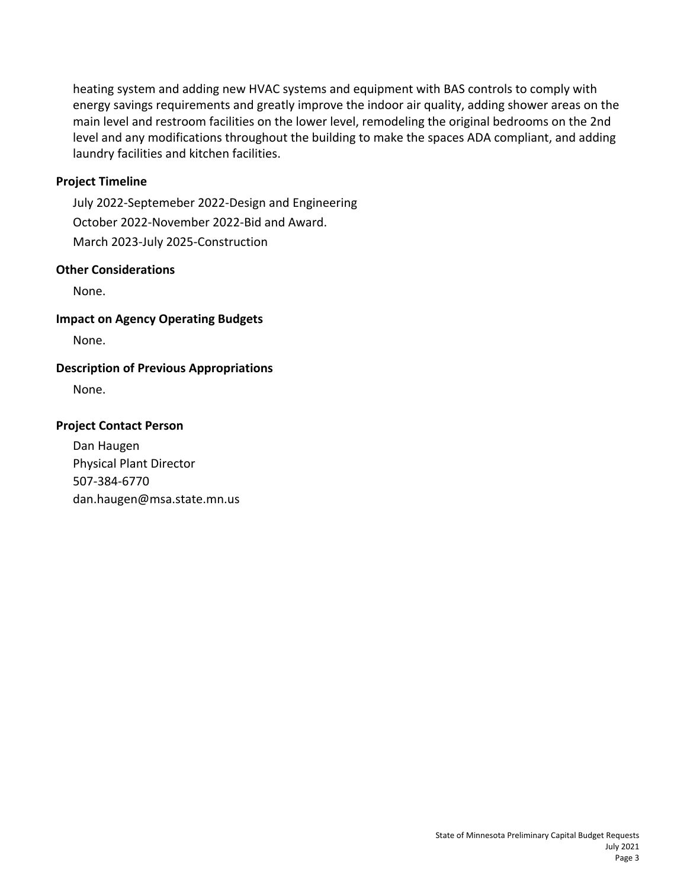heating system and adding new HVAC systems and equipment with BAS controls to comply with energy savings requirements and greatly improve the indoor air quality, adding shower areas on the main level and restroom facilities on the lower level, remodeling the original bedrooms on the 2nd level and any modifications throughout the building to make the spaces ADA compliant, and adding laundry facilities and kitchen facilities.

# **Project Timeline**

July 2022-Septemeber 2022-Design and Engineering October 2022-November 2022-Bid and Award. March 2023-July 2025-Construction

# **Other Considerations**

None.

# **Impact on Agency Operating Budgets**

None.

# **Description of Previous Appropriations**

None.

# **Project Contact Person**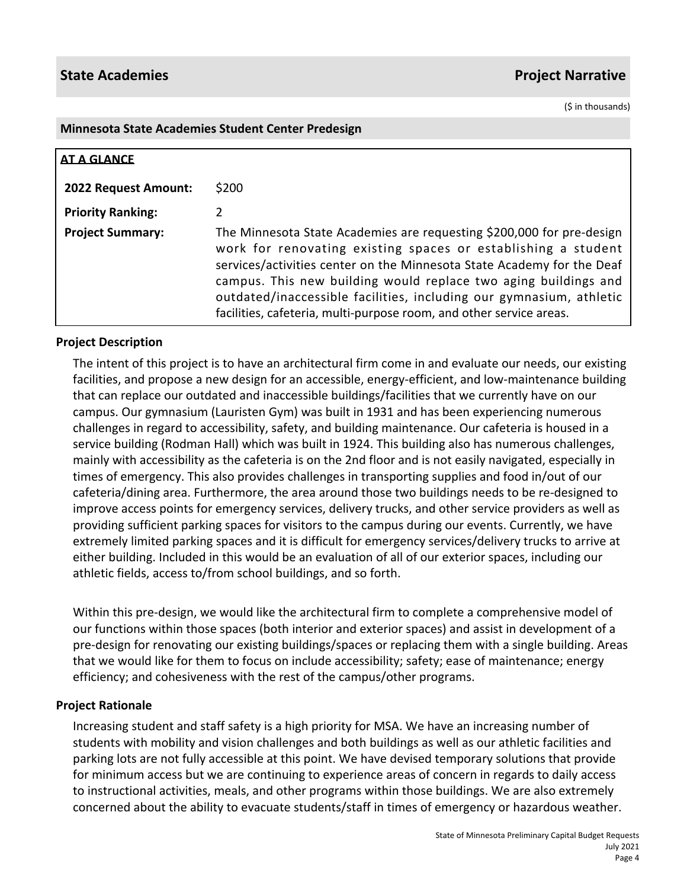(\$ in thousands)

#### **Minnesota State Academies Student Center Predesign**

| <b>AT A GLANCE</b>       |                                                                                                                                                                                                                                                                                                                                                                                                                                   |
|--------------------------|-----------------------------------------------------------------------------------------------------------------------------------------------------------------------------------------------------------------------------------------------------------------------------------------------------------------------------------------------------------------------------------------------------------------------------------|
| 2022 Request Amount:     | \$200                                                                                                                                                                                                                                                                                                                                                                                                                             |
| <b>Priority Ranking:</b> | 2                                                                                                                                                                                                                                                                                                                                                                                                                                 |
| <b>Project Summary:</b>  | The Minnesota State Academies are requesting \$200,000 for pre-design<br>work for renovating existing spaces or establishing a student<br>services/activities center on the Minnesota State Academy for the Deaf<br>campus. This new building would replace two aging buildings and<br>outdated/inaccessible facilities, including our gymnasium, athletic<br>facilities, cafeteria, multi-purpose room, and other service areas. |

# **Project Description**

The intent of this project is to have an architectural firm come in and evaluate our needs, our existing facilities, and propose a new design for an accessible, energy-efficient, and low-maintenance building that can replace our outdated and inaccessible buildings/facilities that we currently have on our campus. Our gymnasium (Lauristen Gym) was built in 1931 and has been experiencing numerous challenges in regard to accessibility, safety, and building maintenance. Our cafeteria is housed in a service building (Rodman Hall) which was built in 1924. This building also has numerous challenges, mainly with accessibility as the cafeteria is on the 2nd floor and is not easily navigated, especially in times of emergency. This also provides challenges in transporting supplies and food in/out of our cafeteria/dining area. Furthermore, the area around those two buildings needs to be re-designed to improve access points for emergency services, delivery trucks, and other service providers as well as providing sufficient parking spaces for visitors to the campus during our events. Currently, we have extremely limited parking spaces and it is difficult for emergency services/delivery trucks to arrive at either building. Included in this would be an evaluation of all of our exterior spaces, including our athletic fields, access to/from school buildings, and so forth.

Within this pre-design, we would like the architectural firm to complete a comprehensive model of our functions within those spaces (both interior and exterior spaces) and assist in development of a pre-design for renovating our existing buildings/spaces or replacing them with a single building. Areas that we would like for them to focus on include accessibility; safety; ease of maintenance; energy efficiency; and cohesiveness with the rest of the campus/other programs.

# **Project Rationale**

Increasing student and staff safety is a high priority for MSA. We have an increasing number of students with mobility and vision challenges and both buildings as well as our athletic facilities and parking lots are not fully accessible at this point. We have devised temporary solutions that provide for minimum access but we are continuing to experience areas of concern in regards to daily access to instructional activities, meals, and other programs within those buildings. We are also extremely concerned about the ability to evacuate students/staff in times of emergency or hazardous weather.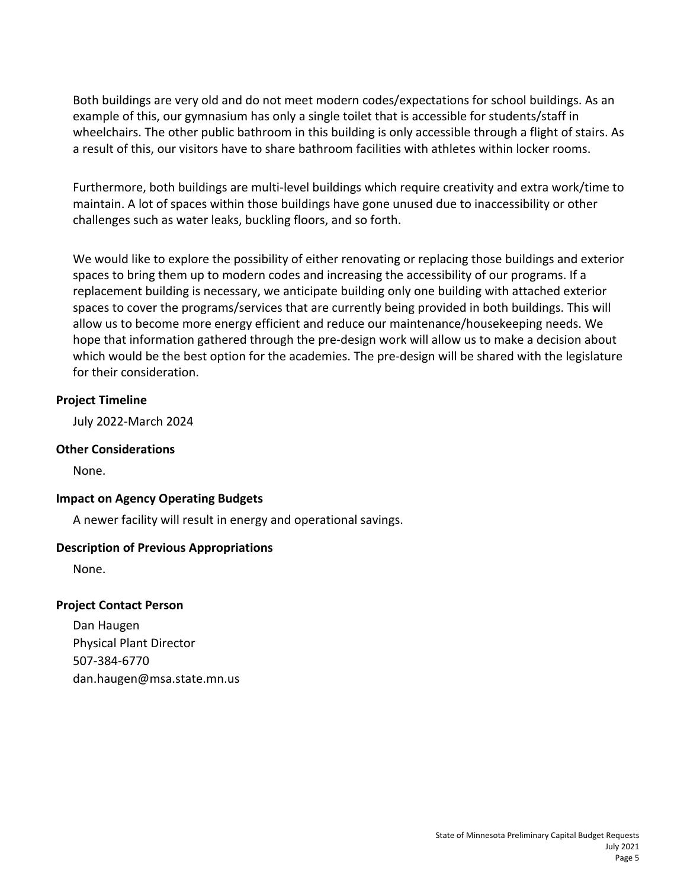Both buildings are very old and do not meet modern codes/expectations for school buildings. As an example of this, our gymnasium has only a single toilet that is accessible for students/staff in wheelchairs. The other public bathroom in this building is only accessible through a flight of stairs. As a result of this, our visitors have to share bathroom facilities with athletes within locker rooms.

Furthermore, both buildings are multi-level buildings which require creativity and extra work/time to maintain. A lot of spaces within those buildings have gone unused due to inaccessibility or other challenges such as water leaks, buckling floors, and so forth.

We would like to explore the possibility of either renovating or replacing those buildings and exterior spaces to bring them up to modern codes and increasing the accessibility of our programs. If a replacement building is necessary, we anticipate building only one building with attached exterior spaces to cover the programs/services that are currently being provided in both buildings. This will allow us to become more energy efficient and reduce our maintenance/housekeeping needs. We hope that information gathered through the pre-design work will allow us to make a decision about which would be the best option for the academies. The pre-design will be shared with the legislature for their consideration.

# **Project Timeline**

July 2022-March 2024

# **Other Considerations**

None.

# **Impact on Agency Operating Budgets**

A newer facility will result in energy and operational savings.

# **Description of Previous Appropriations**

None.

# **Project Contact Person**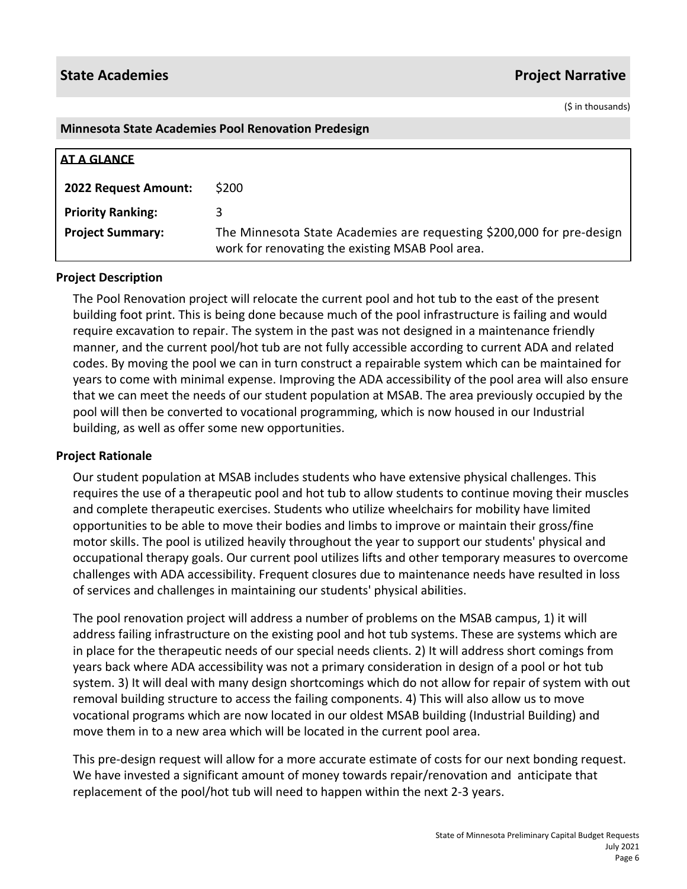(\$ in thousands)

#### **Minnesota State Academies Pool Renovation Predesign**

| AT A GLANCE              |                                                                                                                           |
|--------------------------|---------------------------------------------------------------------------------------------------------------------------|
| 2022 Request Amount:     | \$200                                                                                                                     |
| <b>Priority Ranking:</b> |                                                                                                                           |
| <b>Project Summary:</b>  | The Minnesota State Academies are requesting \$200,000 for pre-design<br>work for renovating the existing MSAB Pool area. |

### **Project Description**

The Pool Renovation project will relocate the current pool and hot tub to the east of the present building foot print. This is being done because much of the pool infrastructure is failing and would require excavation to repair. The system in the past was not designed in a maintenance friendly manner, and the current pool/hot tub are not fully accessible according to current ADA and related codes. By moving the pool we can in turn construct a repairable system which can be maintained for years to come with minimal expense. Improving the ADA accessibility of the pool area will also ensure that we can meet the needs of our student population at MSAB. The area previously occupied by the pool will then be converted to vocational programming, which is now housed in our Industrial building, as well as offer some new opportunities.

# **Project Rationale**

Our student population at MSAB includes students who have extensive physical challenges. This requires the use of a therapeutic pool and hot tub to allow students to continue moving their muscles and complete therapeutic exercises. Students who utilize wheelchairs for mobility have limited opportunities to be able to move their bodies and limbs to improve or maintain their gross/fine motor skills. The pool is utilized heavily throughout the year to support our students' physical and occupational therapy goals. Our current pool utilizes lifts and other temporary measures to overcome challenges with ADA accessibility. Frequent closures due to maintenance needs have resulted in loss of services and challenges in maintaining our students' physical abilities.

The pool renovation project will address a number of problems on the MSAB campus, 1) it will address failing infrastructure on the existing pool and hot tub systems. These are systems which are in place for the therapeutic needs of our special needs clients. 2) It will address short comings from years back where ADA accessibility was not a primary consideration in design of a pool or hot tub system. 3) It will deal with many design shortcomings which do not allow for repair of system with out removal building structure to access the failing components. 4) This will also allow us to move vocational programs which are now located in our oldest MSAB building (Industrial Building) and move them in to a new area which will be located in the current pool area.

This pre-design request will allow for a more accurate estimate of costs for our next bonding request. We have invested a significant amount of money towards repair/renovation and anticipate that replacement of the pool/hot tub will need to happen within the next 2-3 years.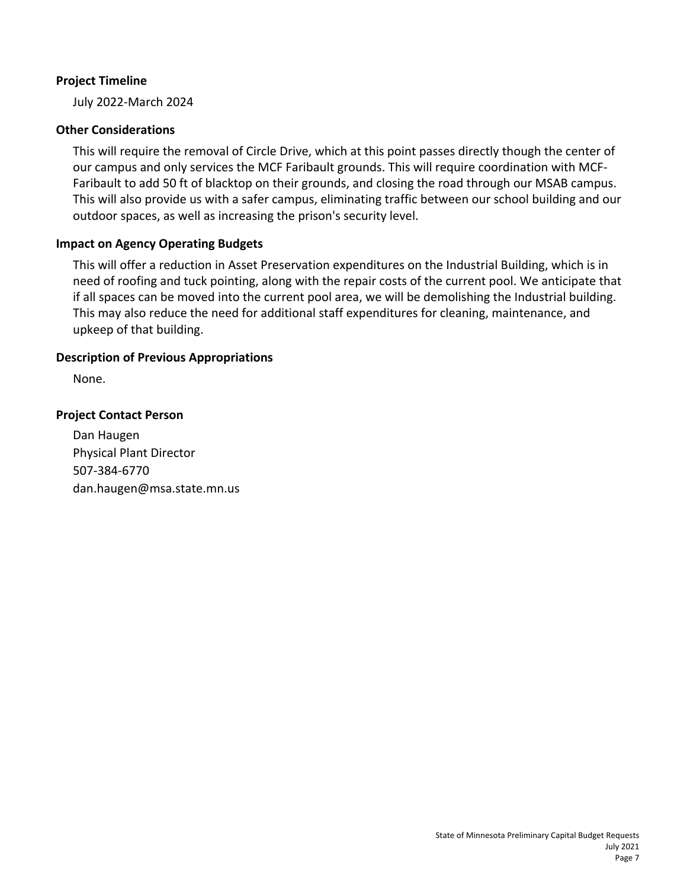# **Project Timeline**

July 2022-March 2024

# **Other Considerations**

This will require the removal of Circle Drive, which at this point passes directly though the center of our campus and only services the MCF Faribault grounds. This will require coordination with MCF-Faribault to add 50 ft of blacktop on their grounds, and closing the road through our MSAB campus. This will also provide us with a safer campus, eliminating traffic between our school building and our outdoor spaces, as well as increasing the prison's security level.

# **Impact on Agency Operating Budgets**

This will offer a reduction in Asset Preservation expenditures on the Industrial Building, which is in need of roofing and tuck pointing, along with the repair costs of the current pool. We anticipate that if all spaces can be moved into the current pool area, we will be demolishing the Industrial building. This may also reduce the need for additional staff expenditures for cleaning, maintenance, and upkeep of that building.

# **Description of Previous Appropriations**

None.

# **Project Contact Person**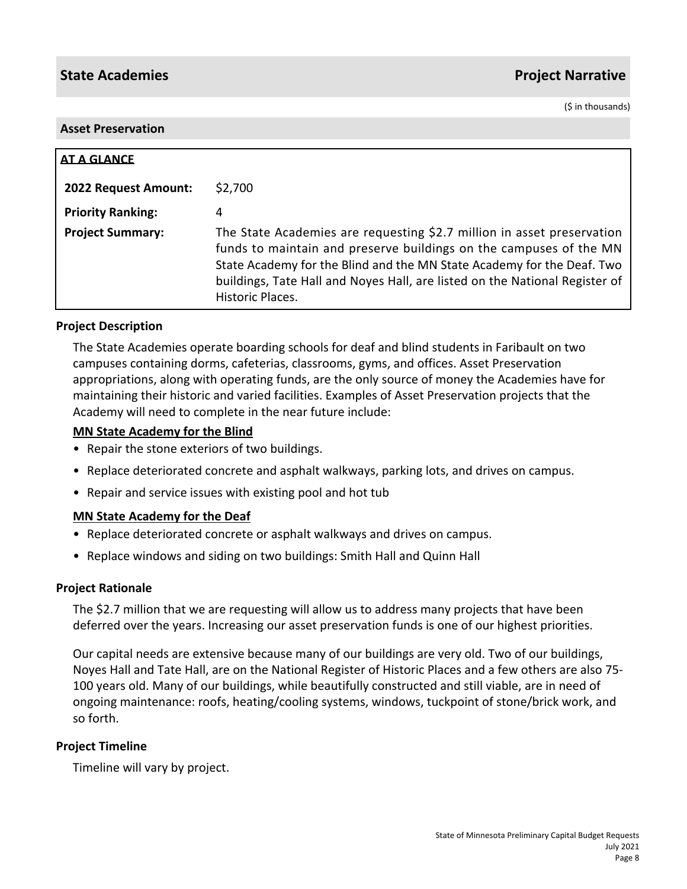(\$ in thousands)

#### **Asset Preservation**

| AT A GLANCE                 |                                                                                                                                                                                                                                                                                                                           |
|-----------------------------|---------------------------------------------------------------------------------------------------------------------------------------------------------------------------------------------------------------------------------------------------------------------------------------------------------------------------|
| <b>2022 Request Amount:</b> | \$2,700                                                                                                                                                                                                                                                                                                                   |
| <b>Priority Ranking:</b>    | 4                                                                                                                                                                                                                                                                                                                         |
| <b>Project Summary:</b>     | The State Academies are requesting \$2.7 million in asset preservation<br>funds to maintain and preserve buildings on the campuses of the MN<br>State Academy for the Blind and the MN State Academy for the Deaf. Two<br>buildings, Tate Hall and Noyes Hall, are listed on the National Register of<br>Historic Places. |

### **Project Description**

The State Academies operate boarding schools for deaf and blind students in Faribault on two campuses containing dorms, cafeterias, classrooms, gyms, and offices. Asset Preservation appropriations, along with operating funds, are the only source of money the Academies have for maintaining their historic and varied facilities. Examples of Asset Preservation projects that the Academy will need to complete in the near future include:

#### **MN State Academy for the Blind**

- Repair the stone exteriors of two buildings.
- Replace deteriorated concrete and asphalt walkways, parking lots, and drives on campus.
- Repair and service issues with existing pool and hot tub

#### **MN State Academy for the Deaf**

- Replace deteriorated concrete or asphalt walkways and drives on campus.
- Replace windows and siding on two buildings: Smith Hall and Quinn Hall

#### **Project Rationale**

The \$2.7 million that we are requesting will allow us to address many projects that have been deferred over the years. Increasing our asset preservation funds is one of our highest priorities.

Our capital needs are extensive because many of our buildings are very old. Two of our buildings, Noyes Hall and Tate Hall, are on the National Register of Historic Places and a few others are also 75- 100 years old. Many of our buildings, while beautifully constructed and still viable, are in need of ongoing maintenance: roofs, heating/cooling systems, windows, tuckpoint of stone/brick work, and so forth.

# **Project Timeline**

Timeline will vary by project.